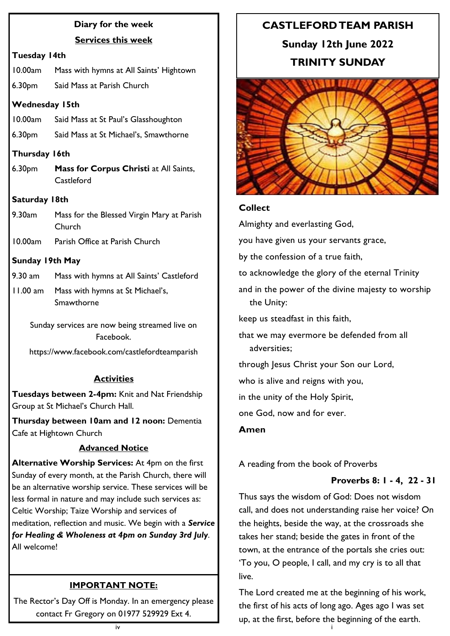### **Diary for the week**

**Services this week**

### **Tuesday 14th**

10.00am Mass with hymns at All Saints' Hightown 6.30pm Said Mass at Parish Church

# **Wednesday 15th**

10.00am Said Mass at St Paul's Glasshoughton 6.30pm Said Mass at St Michael's, Smawthorne

## **Thursday 16th**

6.30pm **Mass for Corpus Christi** at All Saints, **Castleford** 

## **Saturday 18th**

- 9.30am Mass for the Blessed Virgin Mary at Parish **Church**
- 10.00am Parish Office at Parish Church

# **Sunday 19th May**

- 9.30 am Mass with hymns at All Saints' Castleford
- 11.00 am Mass with hymns at St Michael's, Smawthorne

Sunday services are now being streamed live on Facebook.

https://www.facebook.com/castlefordteamparish

# **Activities**

**Tuesdays between 2-4pm:** Knit and Nat Friendship Group at St Michael's Church Hall.

**Thursday between 10am and 12 noon:** Dementia Cafe at Hightown Church

## **Advanced Notice**

**Alternative Worship Services:** At 4pm on the first Sunday of every month, at the Parish Church, there will be an alternative worship service. These services will be less formal in nature and may include such services as: Celtic Worship; Taize Worship and services of meditation, reflection and music. We begin with a *Service for Healing & Wholeness at 4pm on Sunday 3rd July.*  All welcome!

# **IMPORTANT NOTE:**

The Rector's Day Off is Monday. In an emergency please contact Fr Gregory on 01977 529929 Ext 4.

# **CASTLEFORD TEAM PARISH Sunday 12th June 2022 TRINITY SUNDAY**



## **Collect**

Almighty and everlasting God,

you have given us your servants grace,

- by the confession of a true faith,
- to acknowledge the glory of the eternal Trinity
- and in the power of the divine majesty to worship the Unity:

keep us steadfast in this faith,

that we may evermore be defended from all adversities;

through Jesus Christ your Son our Lord,

who is alive and reigns with you,

in the unity of the Holy Spirit,

one God, now and for ever.

**Amen**

A reading from the book of Proverbs

## **Proverbs 8: 1 - 4, 22 - 31**

Thus says the wisdom of God: Does not wisdom call, and does not understanding raise her voice? On the heights, beside the way, at the crossroads she takes her stand; beside the gates in front of the town, at the entrance of the portals she cries out: 'To you, O people, I call, and my cry is to all that live.

i The Lord created me at the beginning of his work, the first of his acts of long ago. Ages ago I was set up, at the first, before the beginning of the earth.